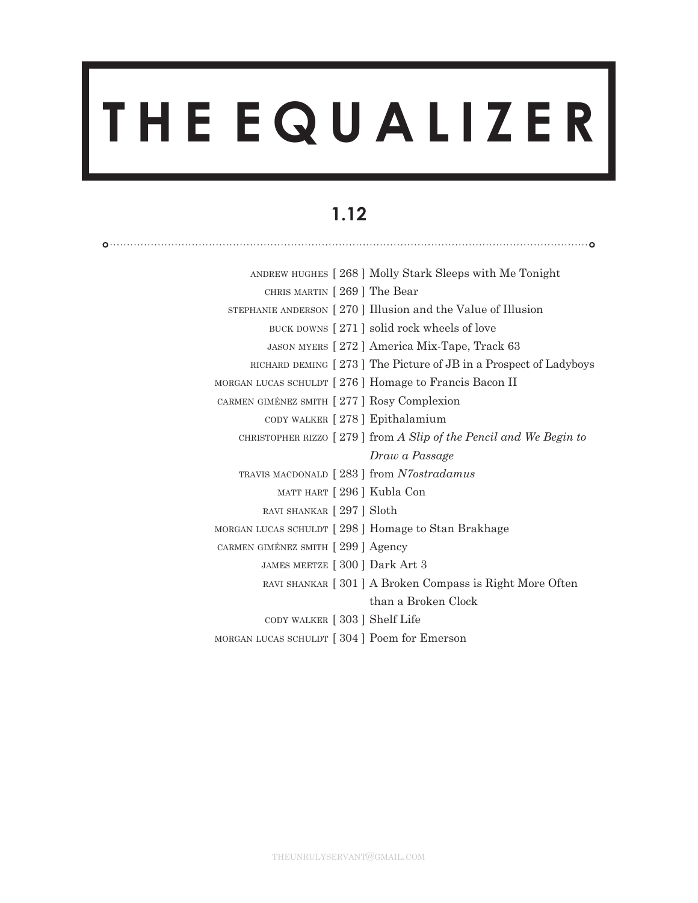# **T H E E Q U A L I Z E R**

# **1.12**

|                                                    | ANDREW HUGHES [268] Molly Stark Sleeps with Me Tonight              |
|----------------------------------------------------|---------------------------------------------------------------------|
| CHRIS MARTIN [269] The Bear                        |                                                                     |
|                                                    | STEPHANIE ANDERSON [270] Illusion and the Value of Illusion         |
|                                                    | BUCK DOWNS [271] solid rock wheels of love                          |
|                                                    | JASON MYERS [272] America Mix-Tape, Track 63                        |
|                                                    | RICHARD DEMING [273] The Picture of JB in a Prospect of Ladyboys    |
|                                                    | MORGAN LUCAS SCHULDT [276] Homage to Francis Bacon II               |
| CARMEN GIMÉNEZ SMITH [277] Rosy Complexion         |                                                                     |
| CODY WALKER [278] Epithalamium                     |                                                                     |
|                                                    | CHRISTOPHER RIZZO $[279]$ from A Slip of the Pencil and We Begin to |
|                                                    | Draw a Passage                                                      |
| TRAVIS MACDONALD [283] from N7ostradamus           |                                                                     |
| MATT HART [296] Kubla Con                          |                                                                     |
| RAVI SHANKAR [297] Sloth                           |                                                                     |
| MORGAN LUCAS SCHULDT [298] Homage to Stan Brakhage |                                                                     |
| CARMEN GIMÉNEZ SMITH [299] Agency                  |                                                                     |
| JAMES MEETZE [300 ] Dark Art 3                     |                                                                     |
|                                                    | RAVI SHANKAR [301] A Broken Compass is Right More Often             |
|                                                    | than a Broken Clock                                                 |
| CODY WALKER [303] Shelf Life                       |                                                                     |
| MORGAN LUCAS SCHULDT [304] Poem for Emerson        |                                                                     |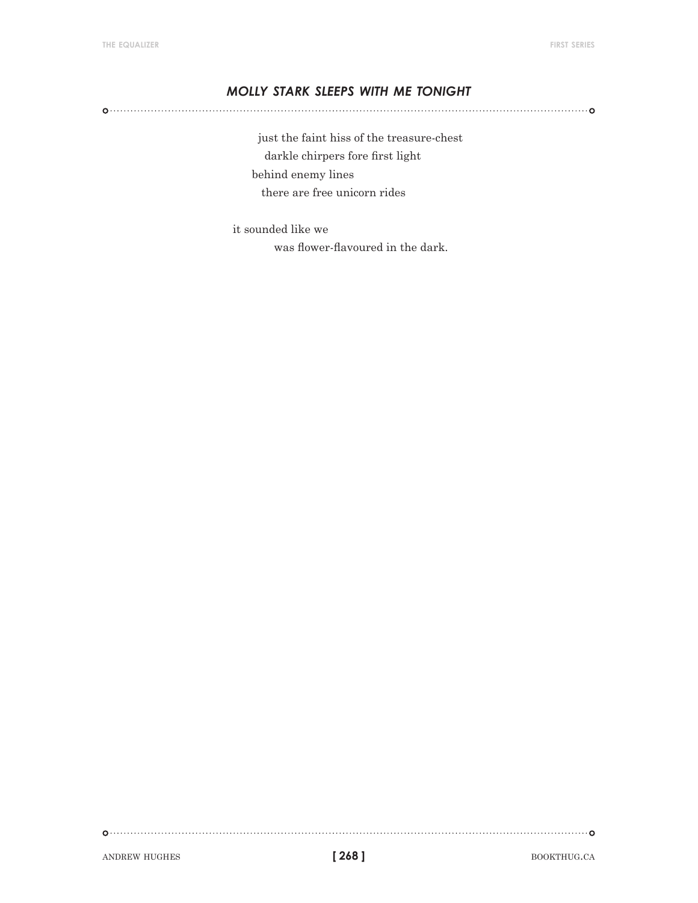# *molly stark sleeps with me tonight*

 just the faint hiss of the treasure-chest darkle chirpers fore first light behind enemy lines there are free unicorn rides

it sounded like we was flower-flavoured in the dark.

ANDREW HUGHES **bookthug.ca bookthug.ca bookthug.ca**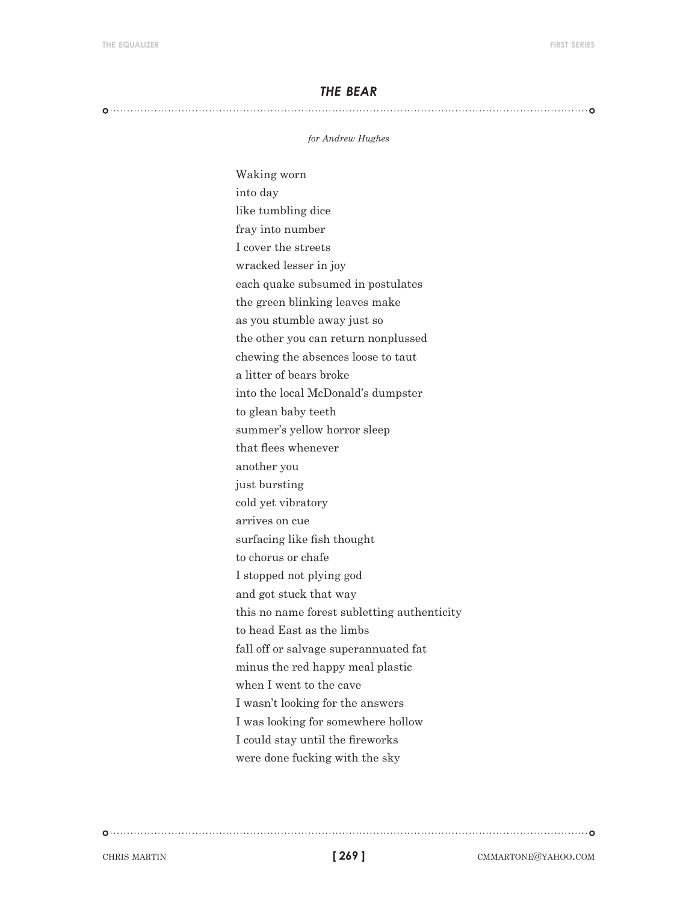#### *the bear*

#### 

#### *for Andrew Hughes*

Waking worn into day like tumbling dice fray into number I cover the streets wracked lesser in joy each quake subsumed in postulates the green blinking leaves make as you stumble away just so the other you can return nonplussed chewing the absences loose to taut a litter of bears broke into the local McDonald's dumpster to glean baby teeth summer's yellow horror sleep that flees whenever another you just bursting cold yet vibratory arrives on cue surfacing like fish thought to chorus or chafe I stopped not plying god and got stuck that way this no name forest subletting authenticity to head East as the limbs fall off or salvage superannuated fat minus the red happy meal plastic when I went to the cave I wasn't looking for the answers I was looking for somewhere hollow I could stay until the fireworks were done fucking with the sky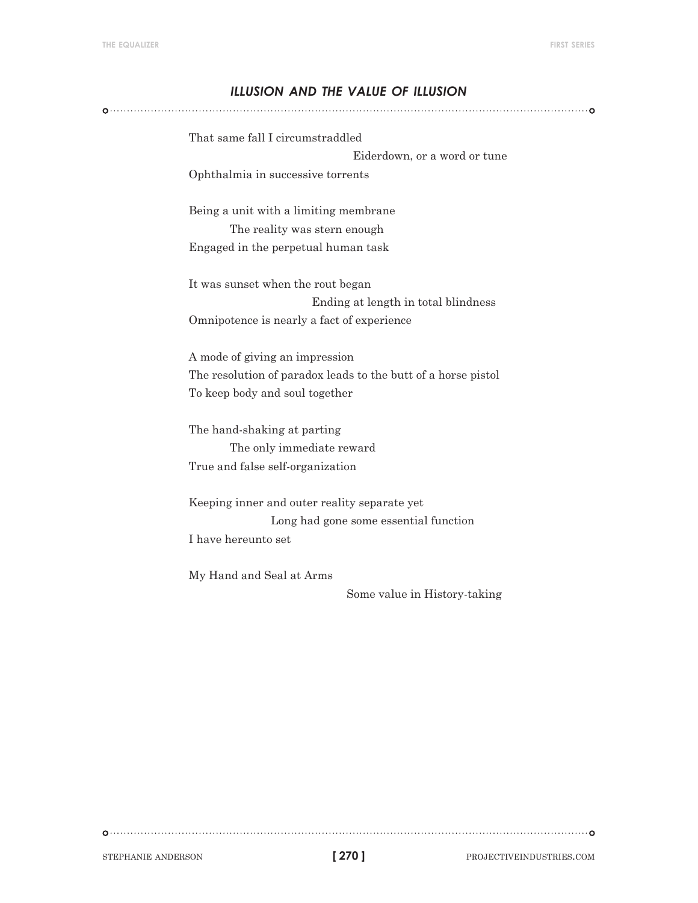# *illusion and the value of illusion*

That same fall I circumstraddled Eiderdown, or a word or tune Ophthalmia in successive torrents

Being a unit with a limiting membrane The reality was stern enough Engaged in the perpetual human task

It was sunset when the rout began Ending at length in total blindness Omnipotence is nearly a fact of experience

A mode of giving an impression The resolution of paradox leads to the butt of a horse pistol To keep body and soul together

The hand-shaking at parting The only immediate reward True and false self-organization

Keeping inner and outer reality separate yet Long had gone some essential function I have hereunto set

My Hand and Seal at Arms

Some value in History-taking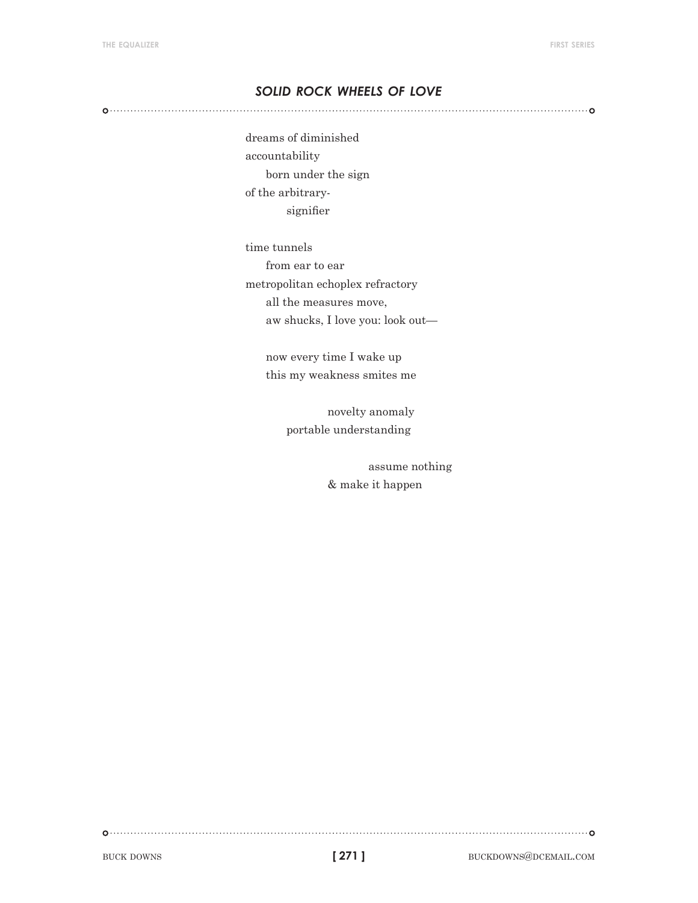# *solid rock wheels of love*

dreams of diminished accountability born under the sign of the arbitrarysignifier

time tunnels from ear to ear metropolitan echoplex refractory all the measures move, aw shucks, I love you: look out—

> now every time I wake up this my weakness smites me

> > novelty anomaly portable understanding

> > > assume nothing & make it happen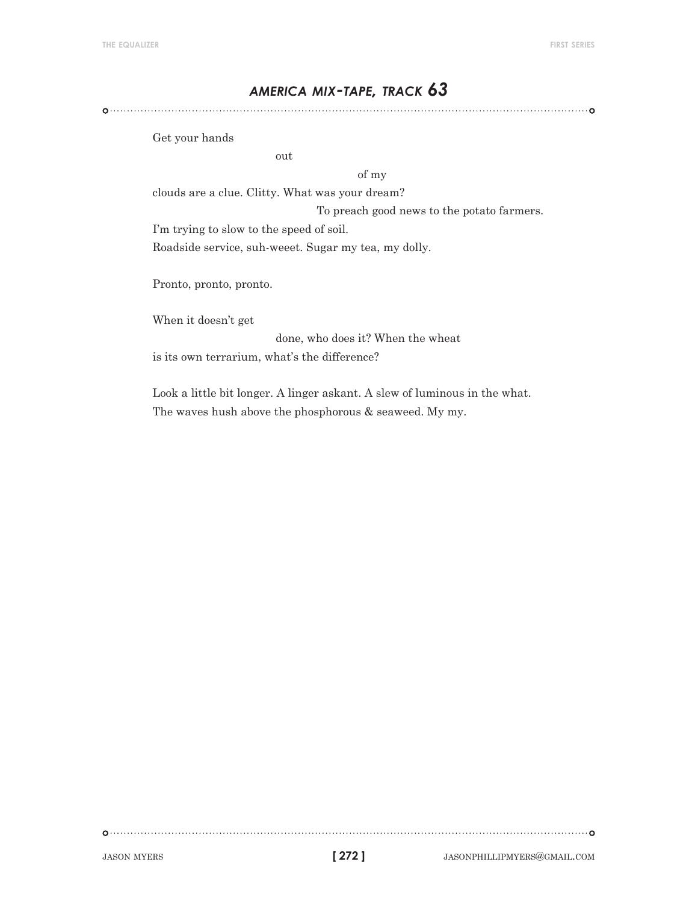# *america mix-tape, track 63*

Get your hands

out

of my

clouds are a clue. Clitty. What was your dream?

To preach good news to the potato farmers.

I'm trying to slow to the speed of soil.

Roadside service, suh-weeet. Sugar my tea, my dolly.

Pronto, pronto, pronto.

When it doesn't get

done, who does it? When the wheat is its own terrarium, what's the difference?

Look a little bit longer. A linger askant. A slew of luminous in the what. The waves hush above the phosphorous & seaweed. My my.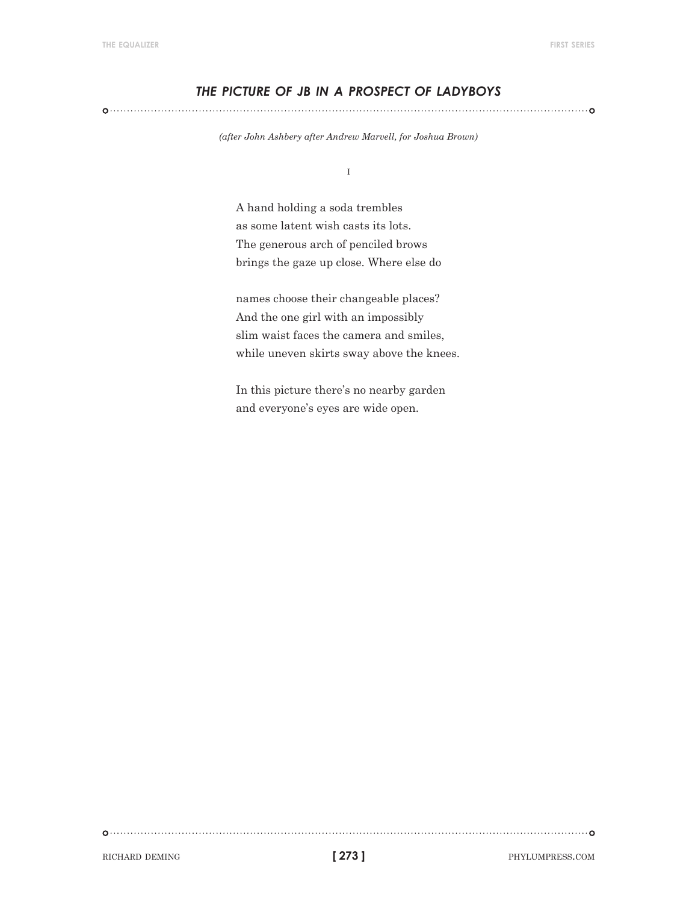# *the picture of jb in a prospect of ladyboys*

*(after John Ashbery after Andrew Marvell, for Joshua Brown)*

i

A hand holding a soda trembles as some latent wish casts its lots. The generous arch of penciled brows brings the gaze up close. Where else do

names choose their changeable places? And the one girl with an impossibly slim waist faces the camera and smiles, while uneven skirts sway above the knees.

In this picture there's no nearby garden and everyone's eyes are wide open.

RICHARD DEMING **273 EXECUTE PROPERTY CONTRACT ASSESS**.COM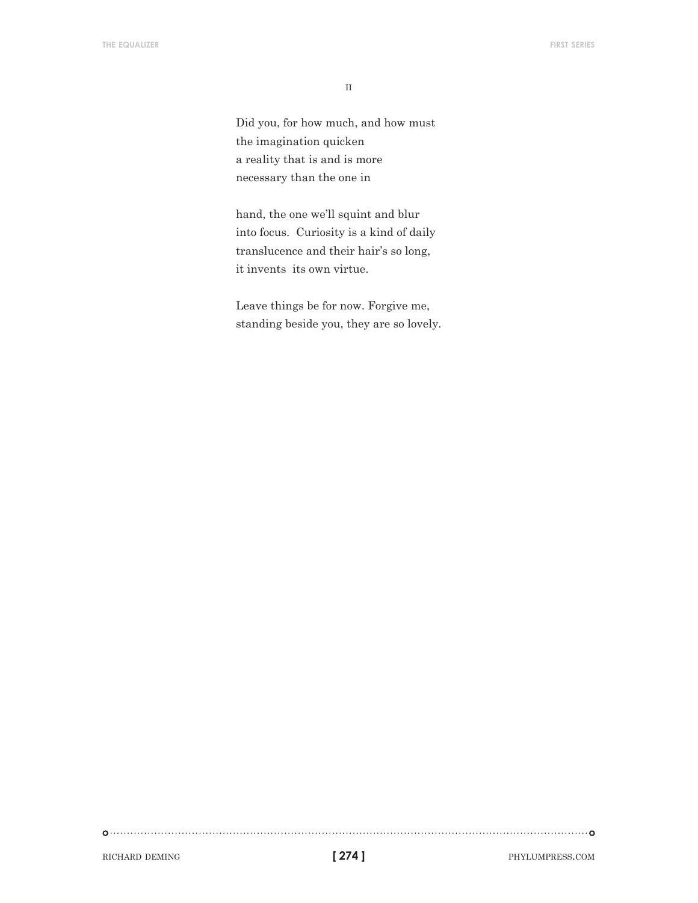$\rm II$ 

Did you, for how much, and how must the imagination quicken a reality that is and is more necessary than the one in

hand, the one we'll squint and blur into focus. Curiosity is a kind of daily translucence and their hair's so long, it invents its own virtue.

Leave things be for now. Forgive me, standing beside you, they are so lovely.

RICHARD DEMING **phylumpress.com 274 ] 274 ] PHYLUMPRESS.COM**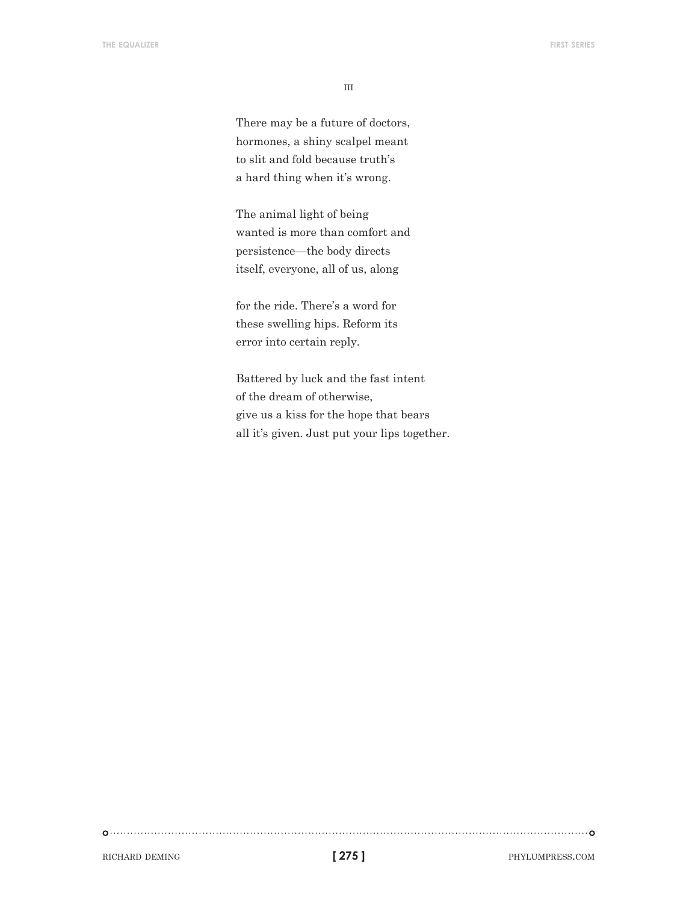iii

There may be a future of doctors, hormones, a shiny scalpel meant to slit and fold because truth's a hard thing when it's wrong.

The animal light of being wanted is more than comfort and persistence—the body directs itself, everyone, all of us, along

for the ride. There's a word for these swelling hips. Reform its error into certain reply.

Battered by luck and the fast intent of the dream of otherwise, give us a kiss for the hope that bears all it's given. Just put your lips together.

RICHARD DEMING **phylumpress.com phylumpress.com phylumpress.com**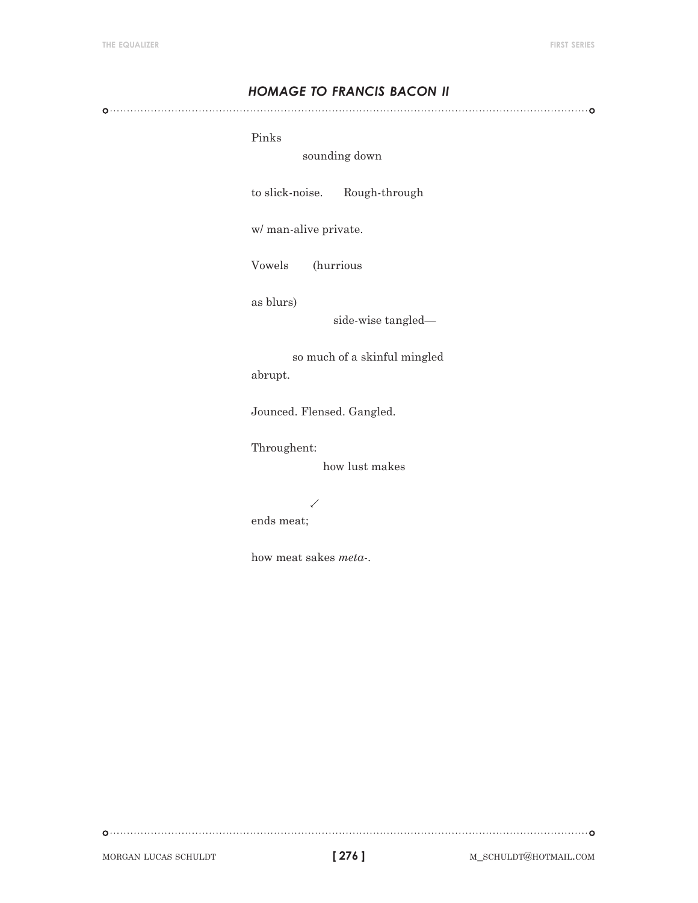# *homage to francis bacon ii*

#### Pinks

## sounding down

to slick-noise. Rough-through

w/ man-alive private.

Vowels (hurrious

as blurs)

side-wise tangled—

 so much of a skinful mingled abrupt.

Jounced. Flensed. Gangled.

Throughent:

how lust makes

ends meat;

how meat sakes *meta-*.

.<br>T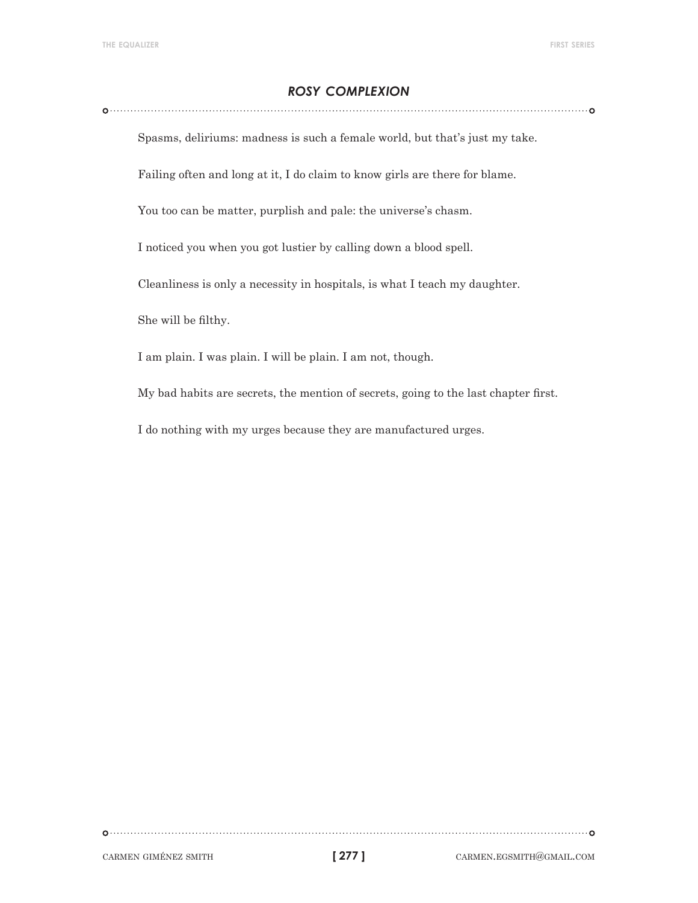# *rosy complexion*

Spasms, deliriums: madness is such a female world, but that's just my take.

Failing often and long at it, I do claim to know girls are there for blame.

You too can be matter, purplish and pale: the universe's chasm.

I noticed you when you got lustier by calling down a blood spell.

Cleanliness is only a necessity in hospitals, is what I teach my daughter.

She will be filthy.

I am plain. I was plain. I will be plain. I am not, though.

My bad habits are secrets, the mention of secrets, going to the last chapter first.

I do nothing with my urges because they are manufactured urges.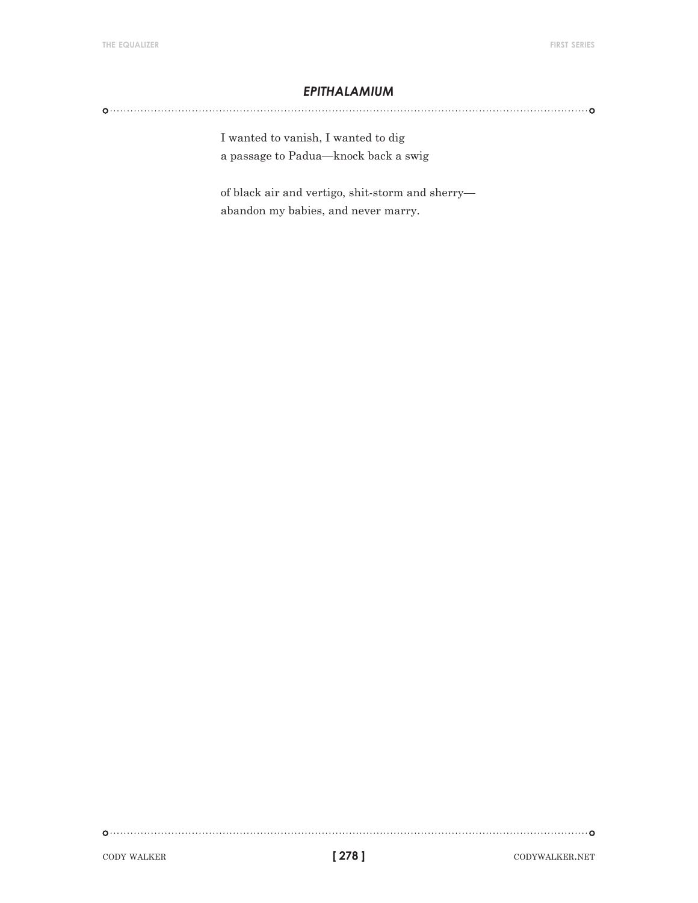## *epithalamium*

I wanted to vanish, I wanted to dig a passage to Padua—knock back a swig

of black air and vertigo, shit-storm and sherry abandon my babies, and never marry.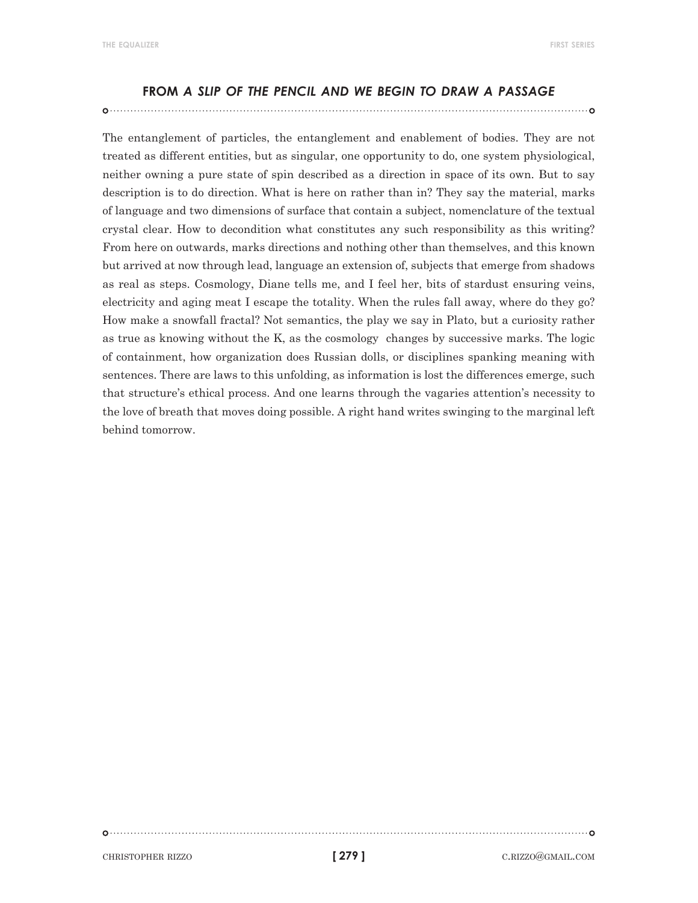#### **from** *a slip of the pencil and we begin to draw a passage*

The entanglement of particles, the entanglement and enablement of bodies. They are not treated as different entities, but as singular, one opportunity to do, one system physiological, neither owning a pure state of spin described as a direction in space of its own. But to say description is to do direction. What is here on rather than in? They say the material, marks of language and two dimensions of surface that contain a subject, nomenclature of the textual crystal clear. How to decondition what constitutes any such responsibility as this writing? From here on outwards, marks directions and nothing other than themselves, and this known but arrived at now through lead, language an extension of, subjects that emerge from shadows as real as steps. Cosmology, Diane tells me, and I feel her, bits of stardust ensuring veins, electricity and aging meat I escape the totality. When the rules fall away, where do they go? How make a snowfall fractal? Not semantics, the play we say in Plato, but a curiosity rather as true as knowing without the K, as the cosmology changes by successive marks. The logic of containment, how organization does Russian dolls, or disciplines spanking meaning with sentences. There are laws to this unfolding, as information is lost the differences emerge, such that structure's ethical process. And one learns through the vagaries attention's necessity to the love of breath that moves doing possible. A right hand writes swinging to the marginal left behind tomorrow.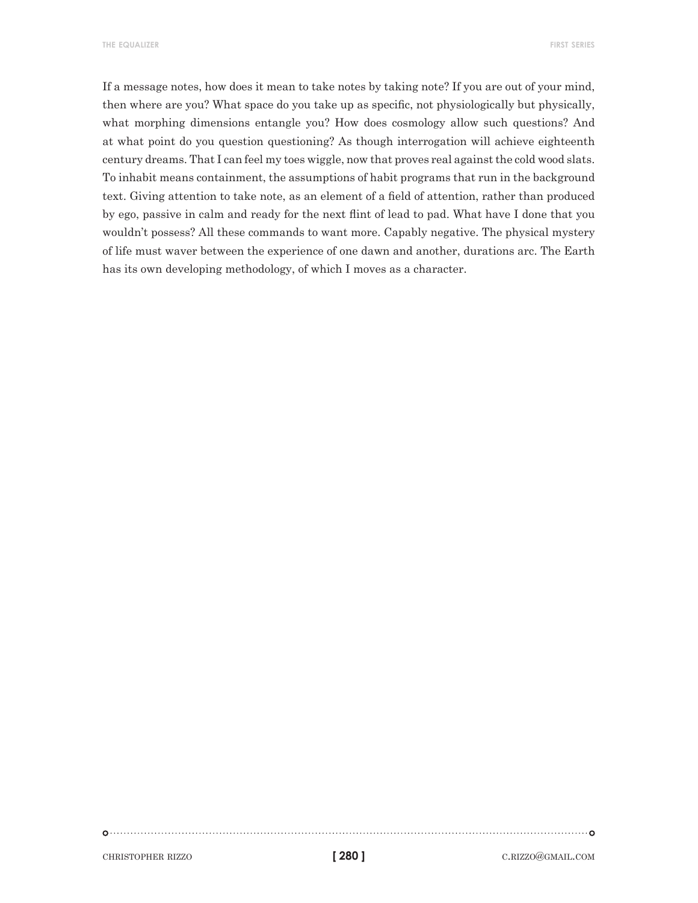**the equalizer first series**

If a message notes, how does it mean to take notes by taking note? If you are out of your mind, then where are you? What space do you take up as specific, not physiologically but physically, what morphing dimensions entangle you? How does cosmology allow such questions? And at what point do you question questioning? As though interrogation will achieve eighteenth century dreams. That I can feel my toes wiggle, now that proves real against the cold wood slats. To inhabit means containment, the assumptions of habit programs that run in the background text. Giving attention to take note, as an element of a field of attention, rather than produced by ego, passive in calm and ready for the next flint of lead to pad. What have I done that you wouldn't possess? All these commands to want more. Capably negative. The physical mystery of life must waver between the experience of one dawn and another, durations arc. The Earth has its own developing methodology, of which I moves as a character.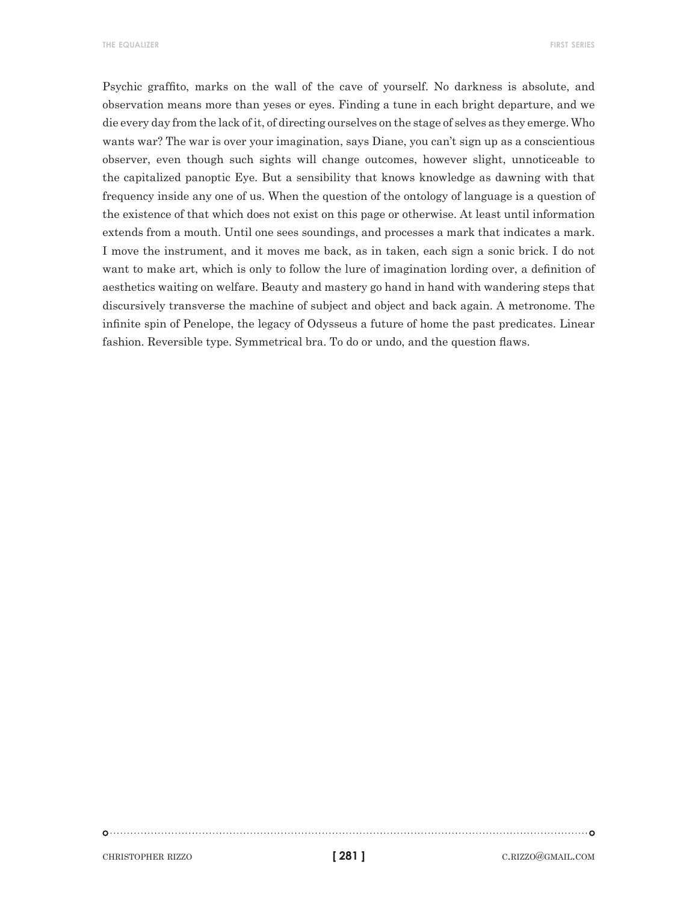**the equalizer first series**

Psychic graffito, marks on the wall of the cave of yourself. No darkness is absolute, and observation means more than yeses or eyes. Finding a tune in each bright departure, and we die every day from the lack of it, of directing ourselves on the stage of selves as they emerge. Who wants war? The war is over your imagination, says Diane, you can't sign up as a conscientious observer, even though such sights will change outcomes, however slight, unnoticeable to the capitalized panoptic Eye. But a sensibility that knows knowledge as dawning with that frequency inside any one of us. When the question of the ontology of language is a question of the existence of that which does not exist on this page or otherwise. At least until information extends from a mouth. Until one sees soundings, and processes a mark that indicates a mark. I move the instrument, and it moves me back, as in taken, each sign a sonic brick. I do not want to make art, which is only to follow the lure of imagination lording over, a definition of aesthetics waiting on welfare. Beauty and mastery go hand in hand with wandering steps that discursively transverse the machine of subject and object and back again. A metronome. The infinite spin of Penelope, the legacy of Odysseus a future of home the past predicates. Linear fashion. Reversible type. Symmetrical bra. To do or undo, and the question flaws.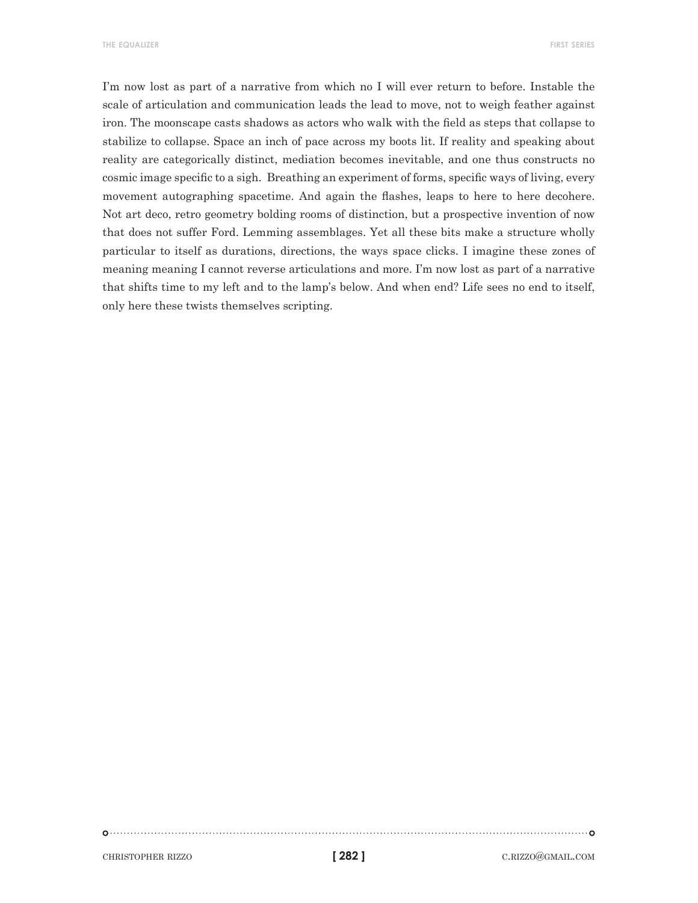**the equalizer first series**

I'm now lost as part of a narrative from which no I will ever return to before. Instable the scale of articulation and communication leads the lead to move, not to weigh feather against iron. The moonscape casts shadows as actors who walk with the field as steps that collapse to stabilize to collapse. Space an inch of pace across my boots lit. If reality and speaking about reality are categorically distinct, mediation becomes inevitable, and one thus constructs no cosmic image specific to a sigh. Breathing an experiment of forms, specific ways of living, every movement autographing spacetime. And again the flashes, leaps to here to here decohere. Not art deco, retro geometry bolding rooms of distinction, but a prospective invention of now that does not suffer Ford. Lemming assemblages. Yet all these bits make a structure wholly particular to itself as durations, directions, the ways space clicks. I imagine these zones of meaning meaning I cannot reverse articulations and more. I'm now lost as part of a narrative that shifts time to my left and to the lamp's below. And when end? Life sees no end to itself, only here these twists themselves scripting.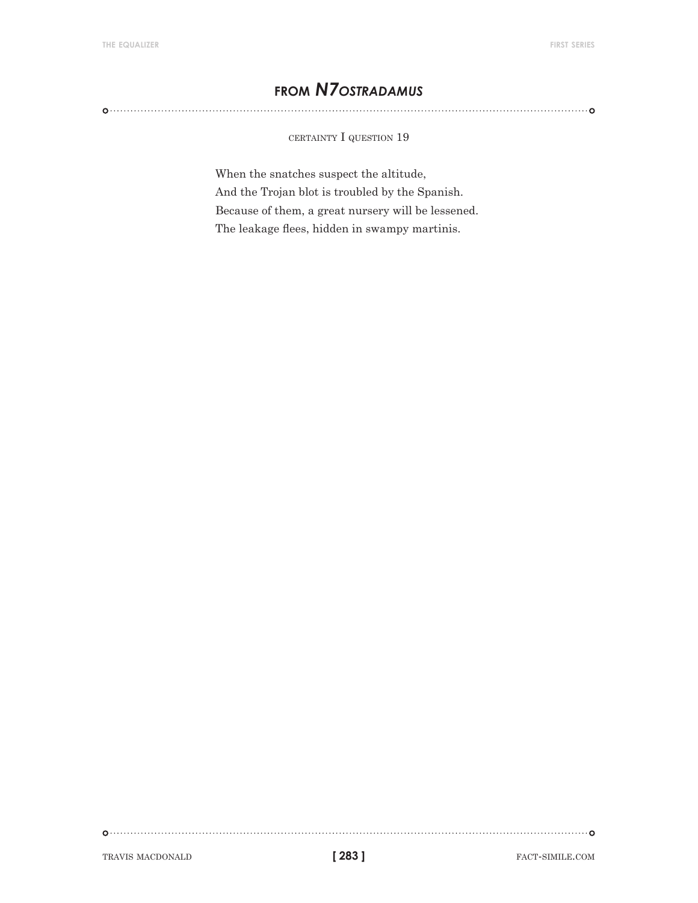# **from** *N7ostradamus*

certainty I question 19

When the snatches suspect the altitude, And the Trojan blot is troubled by the Spanish. Because of them, a great nursery will be lessened. The leakage flees, hidden in swampy martinis.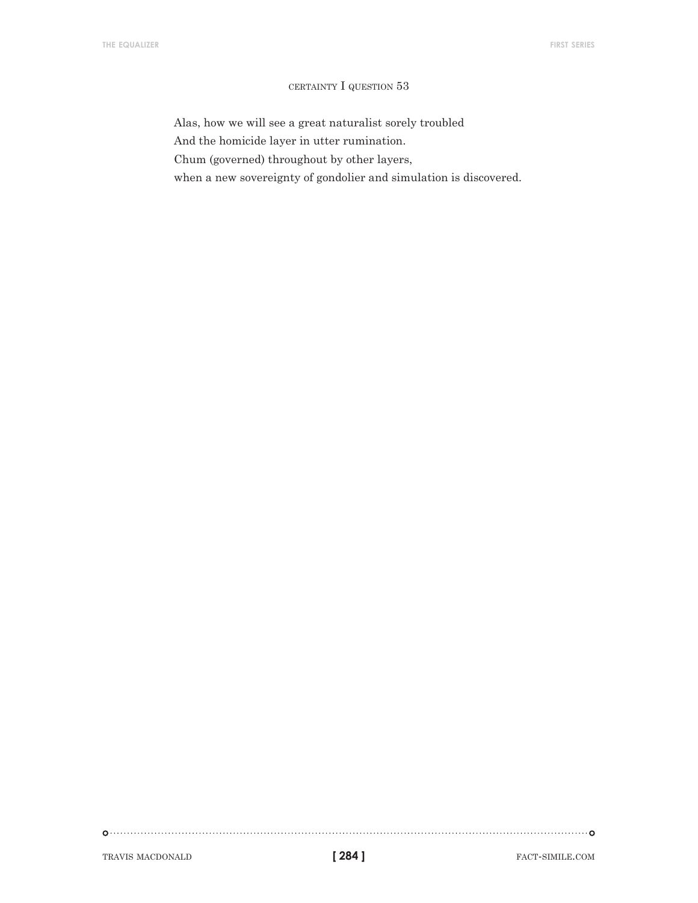#### certainty I question 53

Alas, how we will see a great naturalist sorely troubled

And the homicide layer in utter rumination.

Chum (governed) throughout by other layers,

when a new sovereignty of gondolier and simulation is discovered.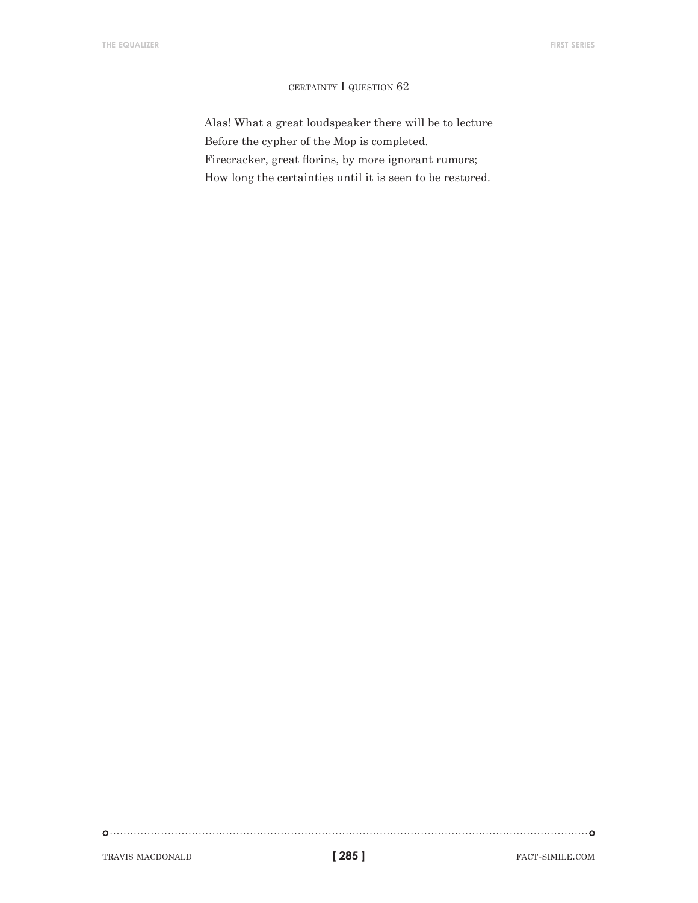#### certainty I question 62

Alas! What a great loudspeaker there will be to lecture Before the cypher of the Mop is completed. Firecracker, great florins, by more ignorant rumors; How long the certainties until it is seen to be restored.

TRAVIS MACDONALD **[285] FACT-SIMILE.COM** 

**[ 285 ]**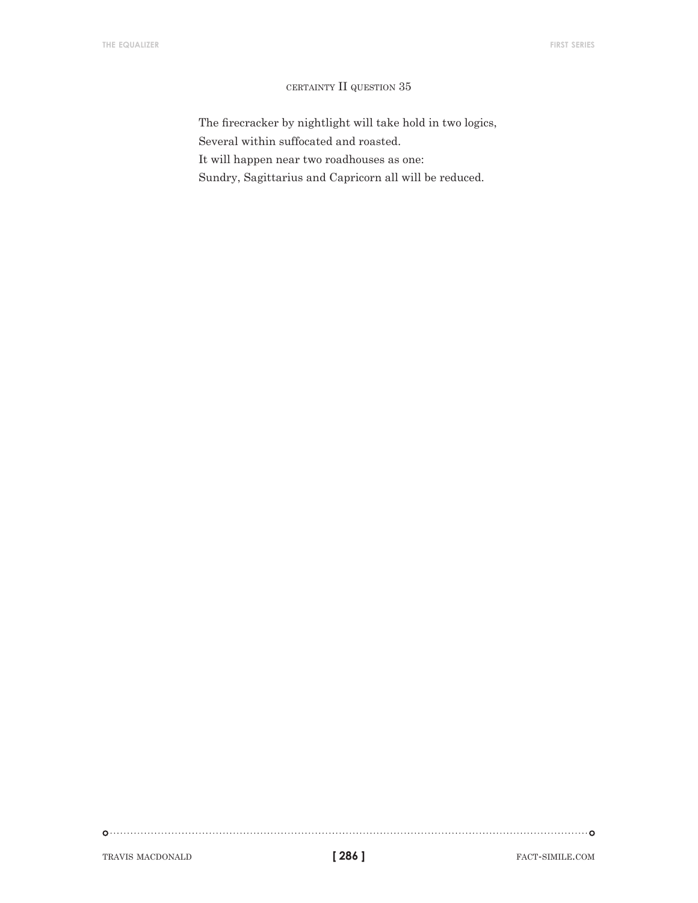#### certainty II question 35

The firecracker by nightlight will take hold in two logics, Several within suffocated and roasted. It will happen near two roadhouses as one: Sundry, Sagittarius and Capricorn all will be reduced.

TRAVIS MACDONALD **fact-simile.com fact-simile.com fact-simile.com** 

**[ 286 ]**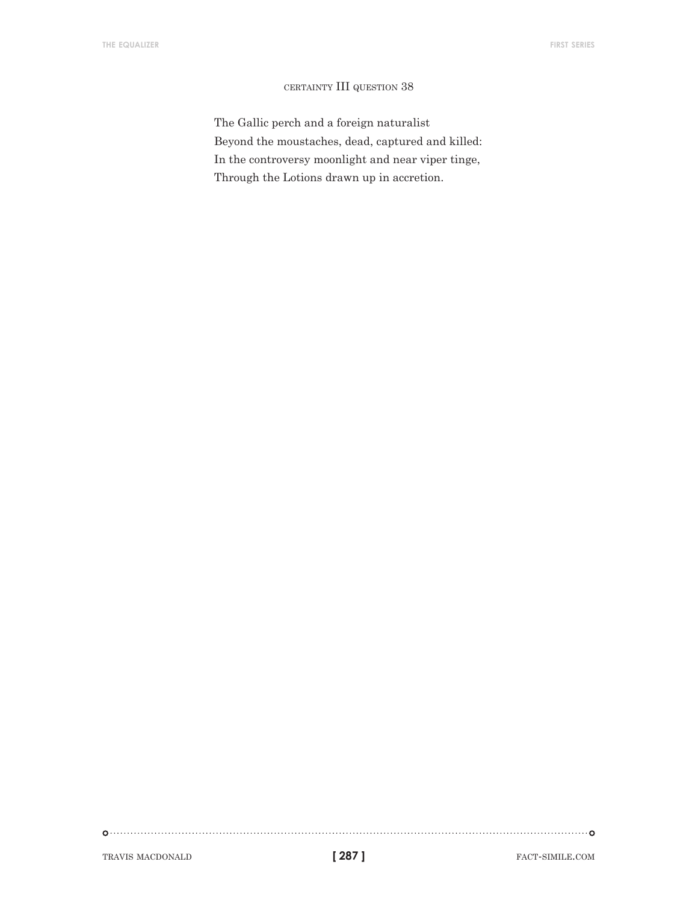#### certainty III question 38

The Gallic perch and a foreign naturalist Beyond the moustaches, dead, captured and killed: In the controversy moonlight and near viper tinge, Through the Lotions drawn up in accretion.

TRAVIS MACDONALD **[287] FACT-SIMILE.COM** 

**[ 287 ]**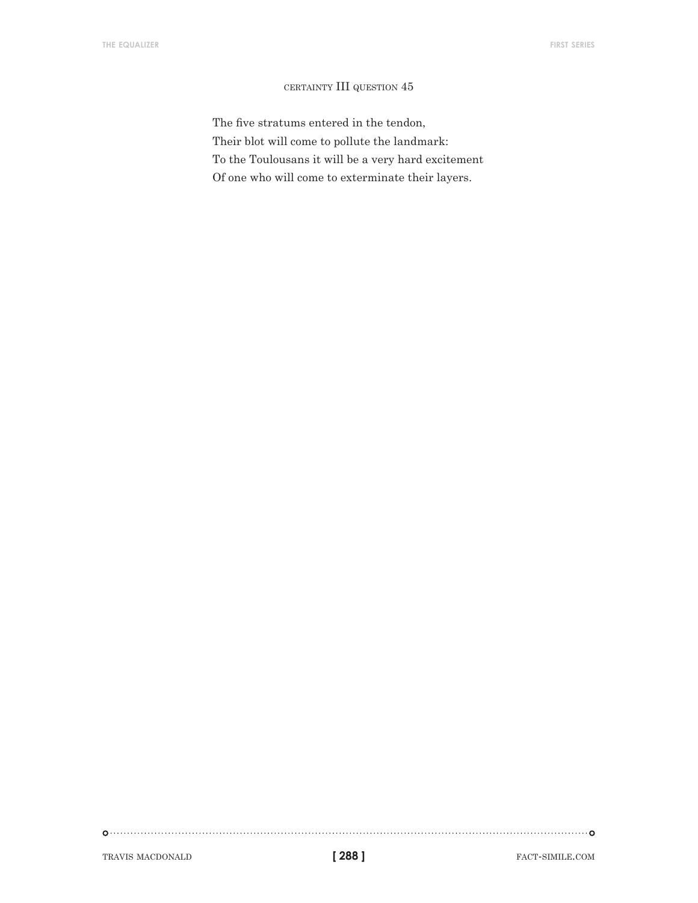#### certainty III question 45

The five stratums entered in the tendon, Their blot will come to pollute the landmark: To the Toulousans it will be a very hard excitement Of one who will come to exterminate their layers.

TRAVIS MACDONALD **[288] FACT-SIMILE.COM** 

**[ 288 ]**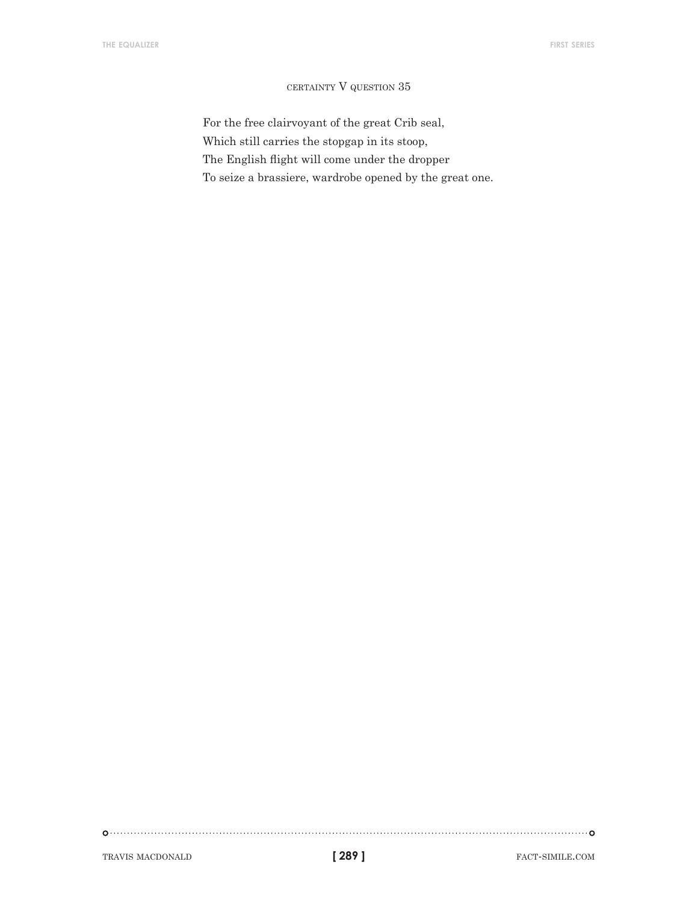#### certainty V question 35

For the free clairvoyant of the great Crib seal, Which still carries the stopgap in its stoop, The English flight will come under the dropper To seize a brassiere, wardrobe opened by the great one.

TRAVIS MACDONALD **[289]** FACT-SIMILE.COM

**[ 289 ]**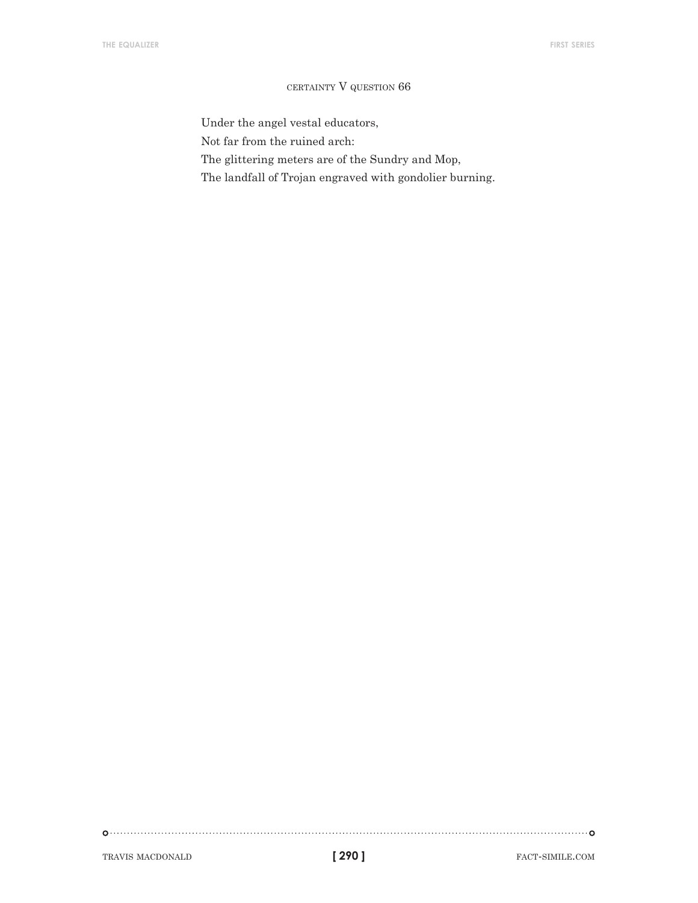#### certainty V question 66

Under the angel vestal educators,

Not far from the ruined arch:

The glittering meters are of the Sundry and Mop,

The landfall of Trojan engraved with gondolier burning.

TRAVIS MACDONALD **fact-simile.com fact-simile.com fact-simile.com**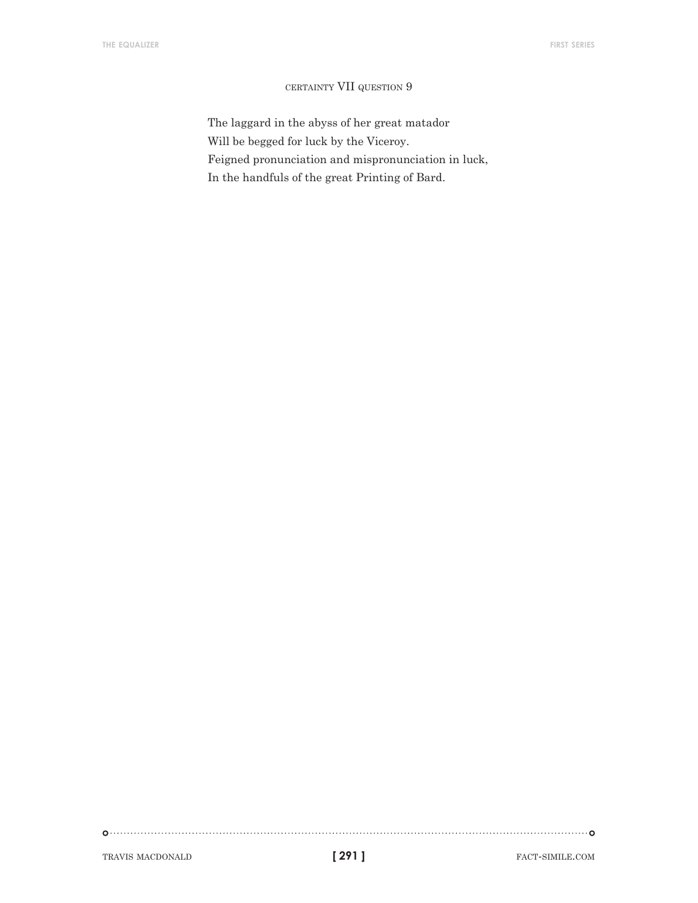#### certainty VII question 9

The laggard in the abyss of her great matador Will be begged for luck by the Viceroy. Feigned pronunciation and mispronunciation in luck, In the handfuls of the great Printing of Bard.

TRAVIS MACDONALD **fact-simile.com fact-simile.com f 1291 f**act-simile.com

**[ 291 ]**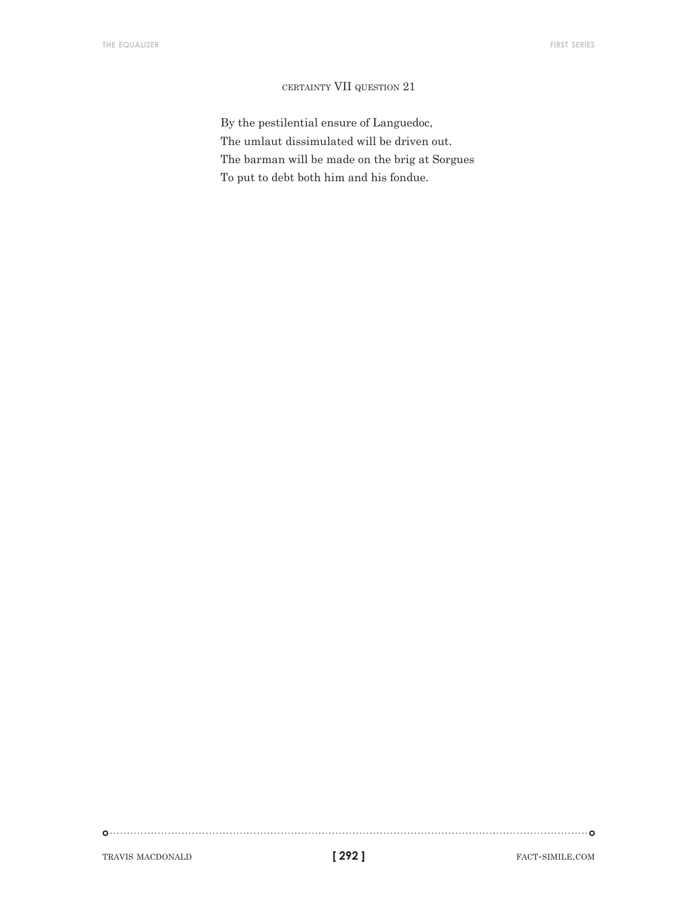## certainty VII question 21

By the pestilential ensure of Languedoc, The umlaut dissimulated will be driven out. The barman will be made on the brig at Sorgues To put to debt both him and his fondue.

TRAVIS MACDONALD **fact-simile.com fact-simile.com fact-simile.com** 

**[ 292 ]**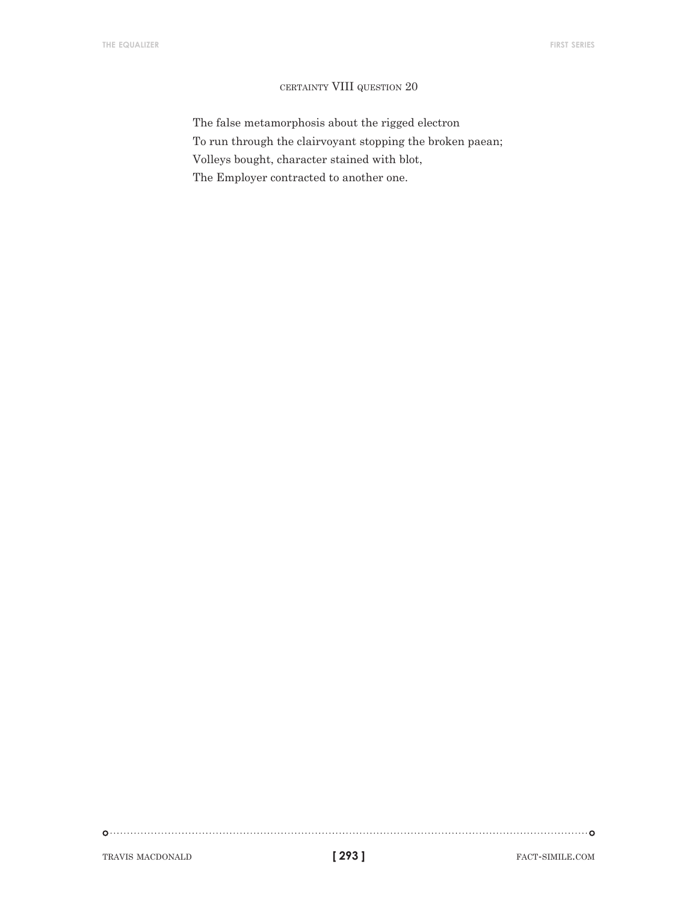#### certainty VIII question 20

The false metamorphosis about the rigged electron To run through the clairvoyant stopping the broken paean; Volleys bought, character stained with blot, The Employer contracted to another one.

TRAVIS MACDONALD **fact-simile.com fact-simile.com fact-simile.com** 

**[ 293 ]**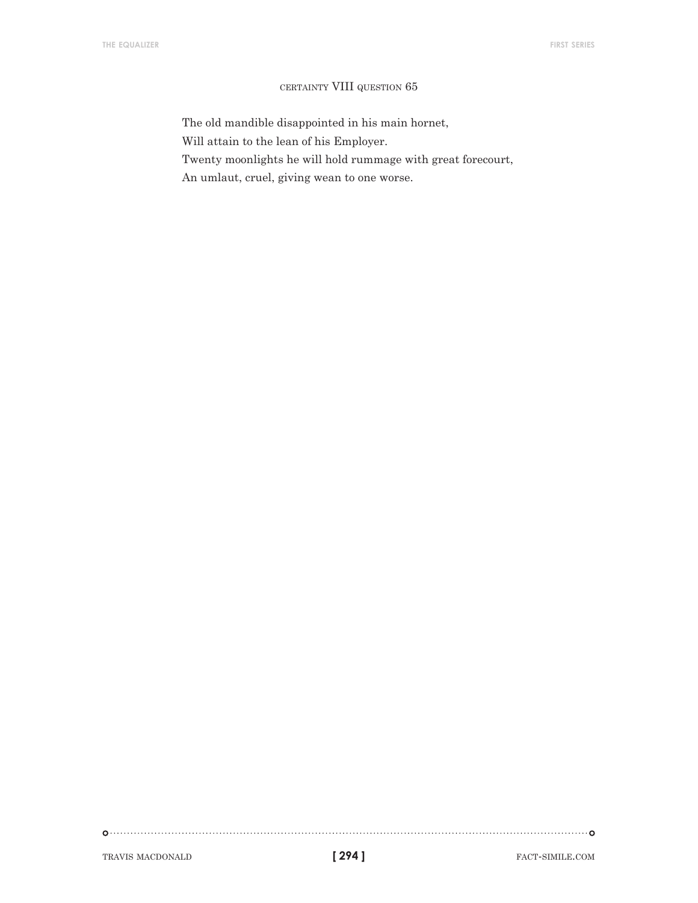#### certainty VIII question 65

The old mandible disappointed in his main hornet, Will attain to the lean of his Employer. Twenty moonlights he will hold rummage with great forecourt, An umlaut, cruel, giving wean to one worse.

TRAVIS MACDONALD **fact-simile.com fact-simile.com fact-simile.com** 

**[ 294 ]**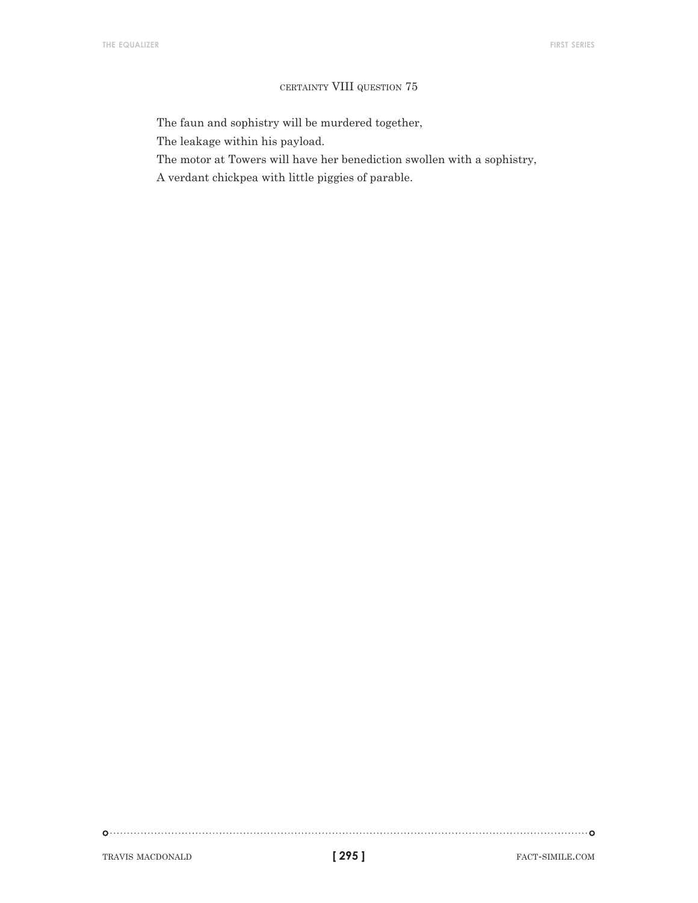#### certainty VIII question 75

The faun and sophistry will be murdered together,

The leakage within his payload.

The motor at Towers will have her benediction swollen with a sophistry,

A verdant chickpea with little piggies of parable.

TRAVIS MACDONALD **fact-simile.com fact-simile.com fact-simile.com**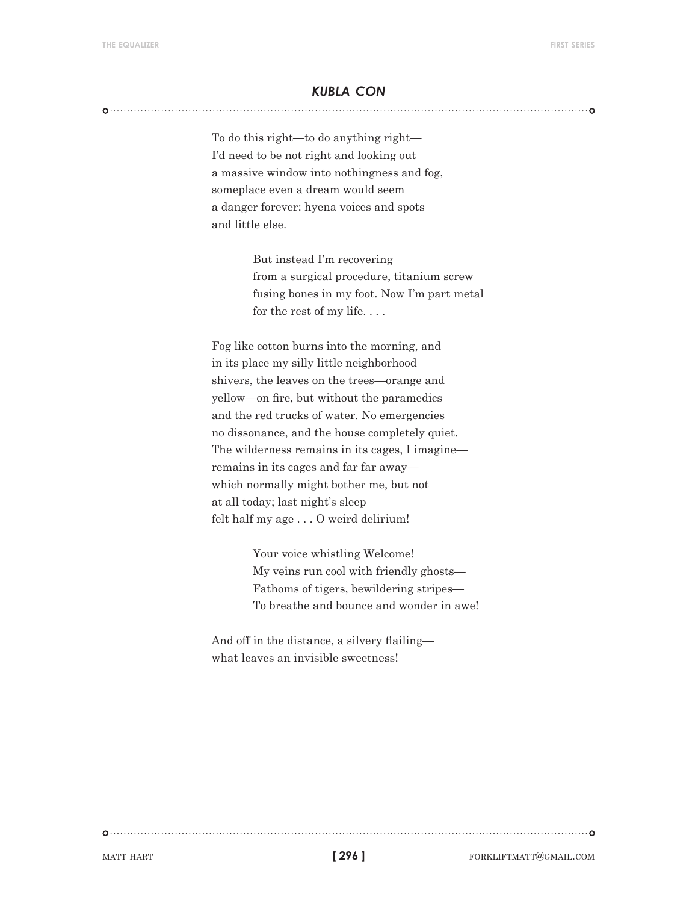# *kubla con*

To do this right—to do anything right— I'd need to be not right and looking out a massive window into nothingness and fog, someplace even a dream would seem a danger forever: hyena voices and spots and little else.

> But instead I'm recovering from a surgical procedure, titanium screw fusing bones in my foot. Now I'm part metal for the rest of my life. . . .

Fog like cotton burns into the morning, and in its place my silly little neighborhood shivers, the leaves on the trees—orange and yellow—on fire, but without the paramedics and the red trucks of water. No emergencies no dissonance, and the house completely quiet. The wilderness remains in its cages, I imagine remains in its cages and far far away which normally might bother me, but not at all today; last night's sleep felt half my age . . . O weird delirium!

> Your voice whistling Welcome! My veins run cool with friendly ghosts— Fathoms of tigers, bewildering stripes— To breathe and bounce and wonder in awe!

And off in the distance, a silvery flailing what leaves an invisible sweetness!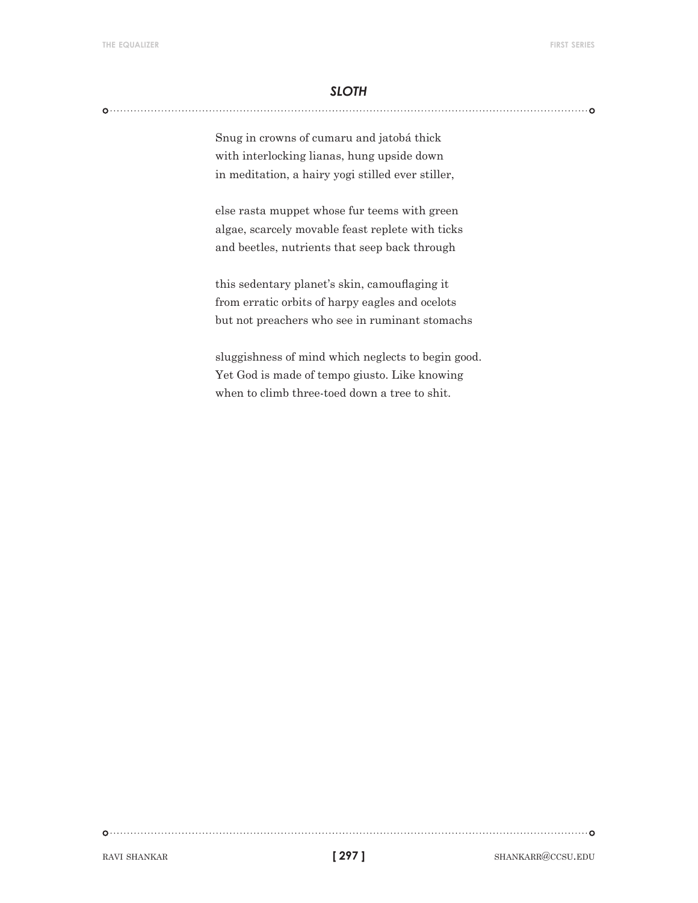# *sloth*

Snug in crowns of cumaru and jatobá thick with interlocking lianas, hung upside down in meditation, a hairy yogi stilled ever stiller,

else rasta muppet whose fur teems with green algae, scarcely movable feast replete with ticks and beetles, nutrients that seep back through

this sedentary planet's skin, camouflaging it from erratic orbits of harpy eagles and ocelots but not preachers who see in ruminant stomachs

sluggishness of mind which neglects to begin good. Yet God is made of tempo giusto. Like knowing when to climb three-toed down a tree to shit.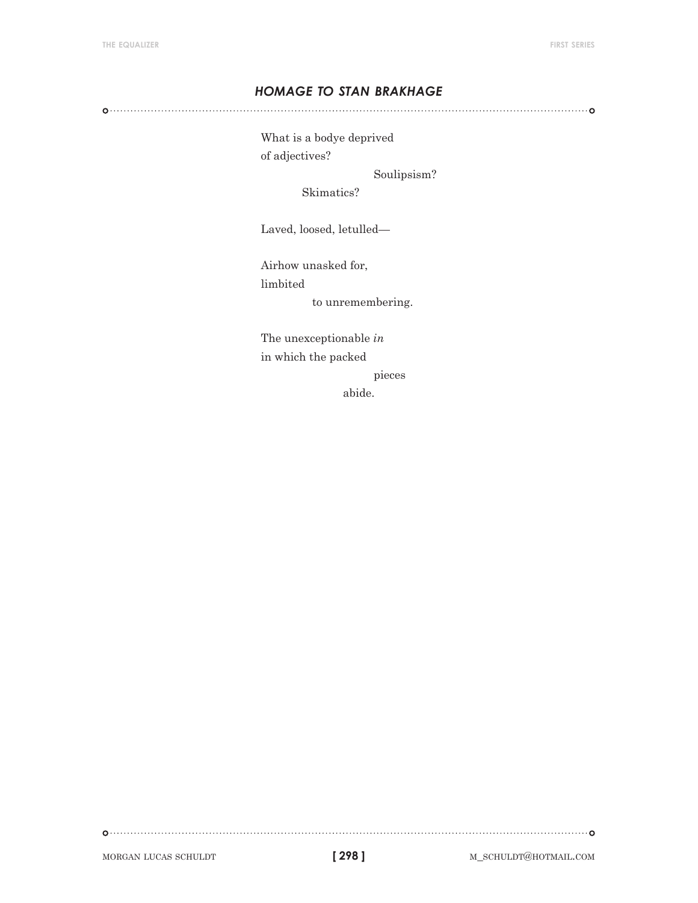# *homage to stan brakhage*

What is a bodye deprived of adjectives?

Soulipsism?

Skimatics?

Laved, loosed, letulled—

Airhow unasked for,

limbited

to unremembering.

The unexceptionable *in* in which the packed

pieces

abide.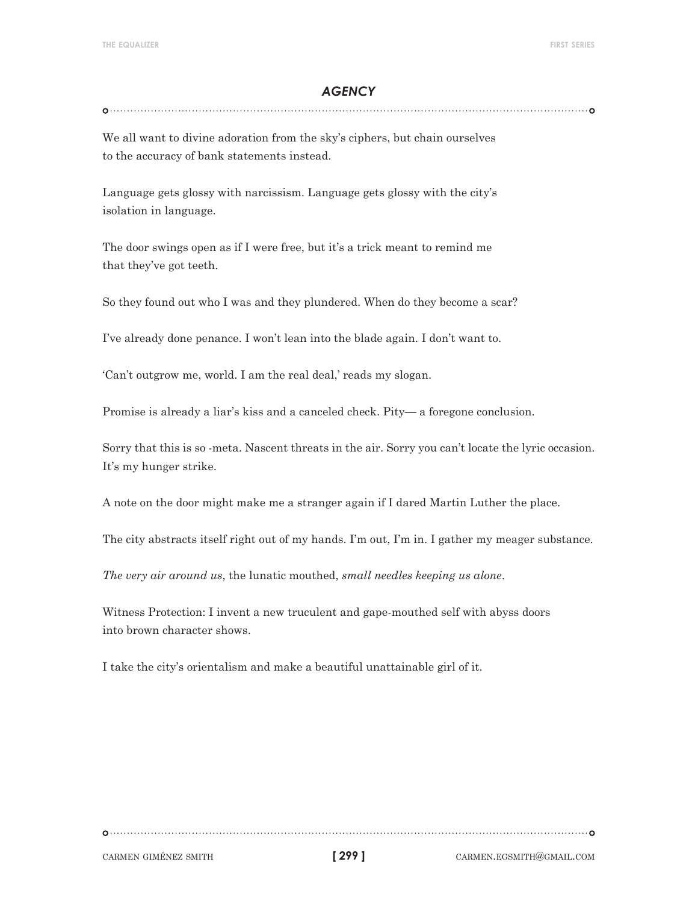# *agency*

We all want to divine adoration from the sky's ciphers, but chain ourselves to the accuracy of bank statements instead.

Language gets glossy with narcissism. Language gets glossy with the city's isolation in language.

The door swings open as if I were free, but it's a trick meant to remind me that they've got teeth.

So they found out who I was and they plundered. When do they become a scar?

I've already done penance. I won't lean into the blade again. I don't want to.

'Can't outgrow me, world. I am the real deal,' reads my slogan.

Promise is already a liar's kiss and a canceled check. Pity— a foregone conclusion.

Sorry that this is so -meta. Nascent threats in the air. Sorry you can't locate the lyric occasion. It's my hunger strike.

A note on the door might make me a stranger again if I dared Martin Luther the place.

The city abstracts itself right out of my hands. I'm out, I'm in. I gather my meager substance.

*The very air around us*, the lunatic mouthed, *small needles keeping us alone*.

Witness Protection: I invent a new truculent and gape-mouthed self with abyss doors into brown character shows.

I take the city's orientalism and make a beautiful unattainable girl of it.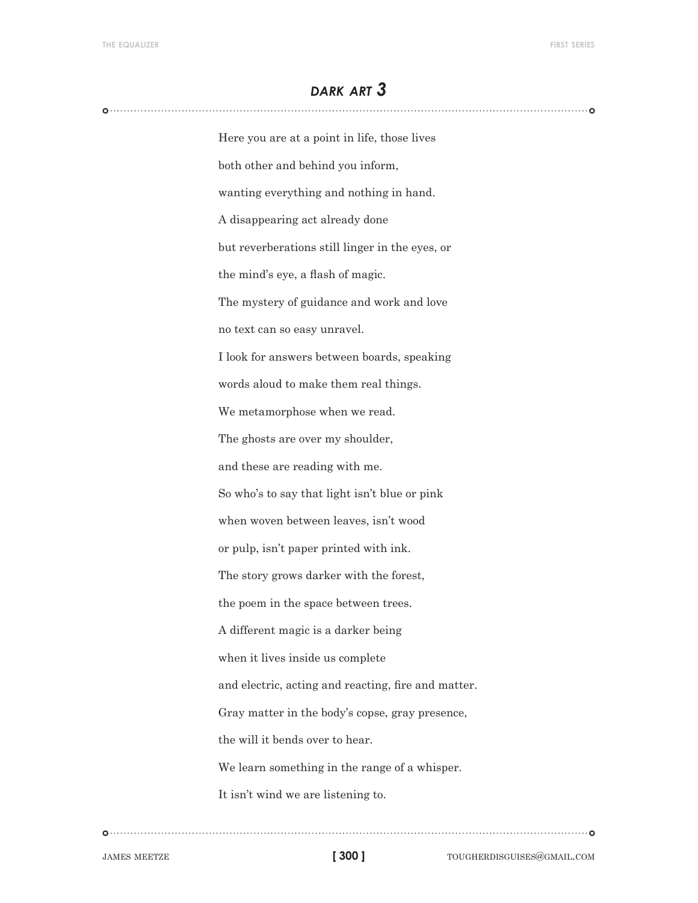# *dark art 3*

Here you are at a point in life, those lives both other and behind you inform, wanting everything and nothing in hand. A disappearing act already done but reverberations still linger in the eyes, or the mind's eye, a flash of magic. The mystery of guidance and work and love no text can so easy unravel. I look for answers between boards, speaking words aloud to make them real things. We metamorphose when we read. The ghosts are over my shoulder, and these are reading with me. So who's to say that light isn't blue or pink when woven between leaves, isn't wood or pulp, isn't paper printed with ink. The story grows darker with the forest, the poem in the space between trees. A different magic is a darker being when it lives inside us complete and electric, acting and reacting, fire and matter. Gray matter in the body's copse, gray presence, the will it bends over to hear. We learn something in the range of a whisper. It isn't wind we are listening to.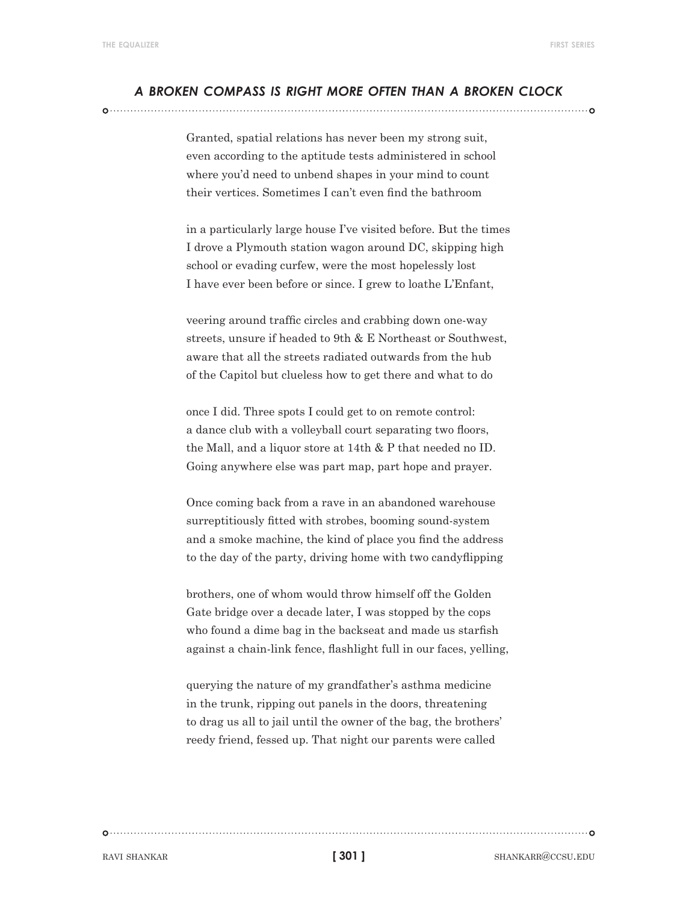## *a broken compass is right more often than a broken clock*

Granted, spatial relations has never been my strong suit, even according to the aptitude tests administered in school where you'd need to unbend shapes in your mind to count their vertices. Sometimes I can't even find the bathroom

in a particularly large house I've visited before. But the times I drove a Plymouth station wagon around DC, skipping high school or evading curfew, were the most hopelessly lost I have ever been before or since. I grew to loathe L'Enfant,

veering around traffic circles and crabbing down one-way streets, unsure if headed to 9th & E Northeast or Southwest, aware that all the streets radiated outwards from the hub of the Capitol but clueless how to get there and what to do

once I did. Three spots I could get to on remote control: a dance club with a volleyball court separating two floors, the Mall, and a liquor store at 14th & P that needed no ID. Going anywhere else was part map, part hope and prayer.

Once coming back from a rave in an abandoned warehouse surreptitiously fitted with strobes, booming sound-system and a smoke machine, the kind of place you find the address to the day of the party, driving home with two candyflipping

brothers, one of whom would throw himself off the Golden Gate bridge over a decade later, I was stopped by the cops who found a dime bag in the backseat and made us starfish against a chain-link fence, flashlight full in our faces, yelling,

querying the nature of my grandfather's asthma medicine in the trunk, ripping out panels in the doors, threatening to drag us all to jail until the owner of the bag, the brothers' reedy friend, fessed up. That night our parents were called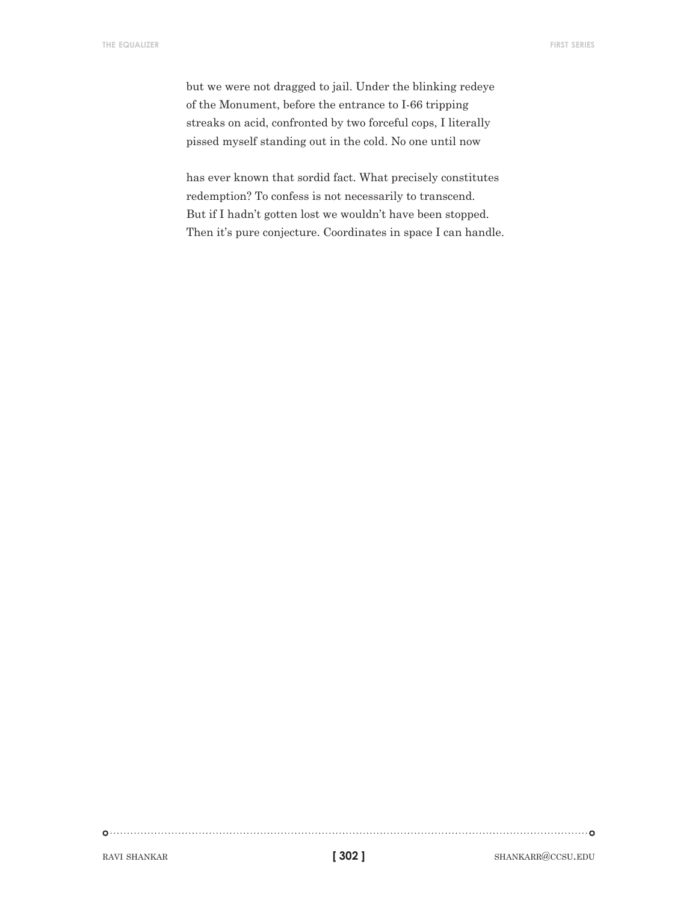but we were not dragged to jail. Under the blinking redeye of the Monument, before the entrance to I-66 tripping streaks on acid, confronted by two forceful cops, I literally pissed myself standing out in the cold. No one until now

has ever known that sordid fact. What precisely constitutes redemption? To confess is not necessarily to transcend. But if I hadn't gotten lost we wouldn't have been stopped. Then it's pure conjecture. Coordinates in space I can handle.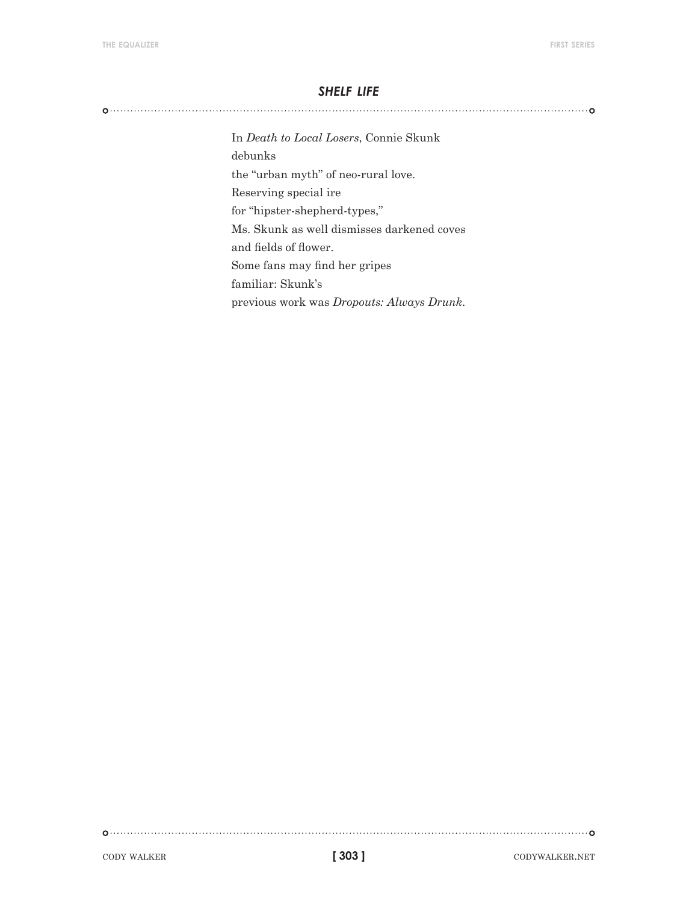#### *shelf life*

In *Death to Local Losers*, Connie Skunk debunks the "urban myth" of neo-rural love. Reserving special ire for "hipster-shepherd-types," Ms. Skunk as well dismisses darkened coves and fields of flower. Some fans may find her gripes familiar: Skunk's previous work was *Dropouts: Always Drunk*.

cody walker. The codywalker codywalker codywalker.net

**[ 303 ]**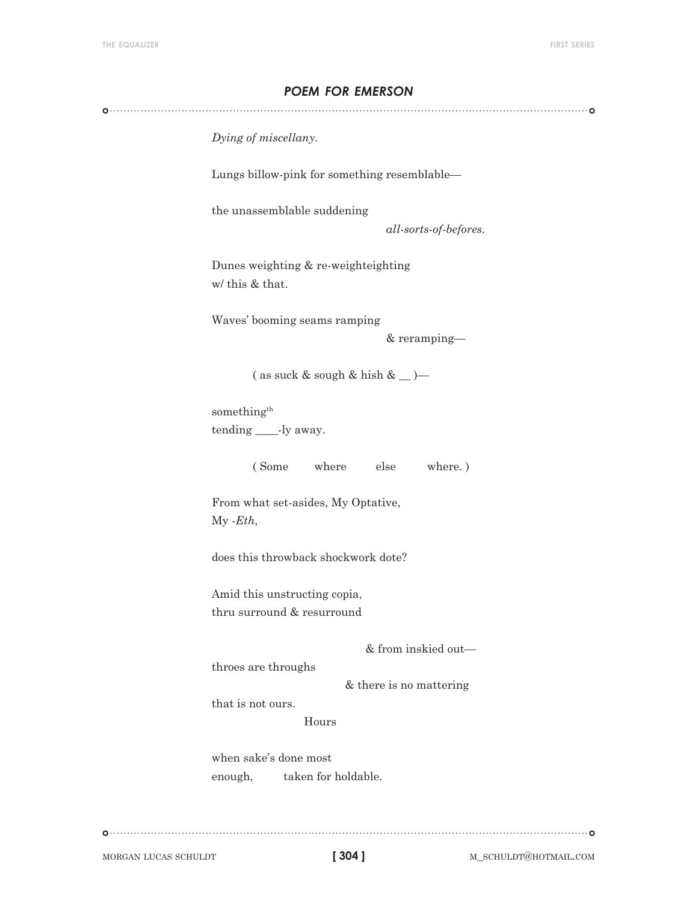# *poem for emerson*

*Dying of miscellany.*

Lungs billow-pink for something resemblable—

the unassemblable suddening

*all-sorts-of-befores.*

Dunes weighting & re-weighteighting w/ this & that.

Waves' booming seams ramping

& reramping—

( as suck & sough & hish &  $\_\$ 

something<sup>th</sup> tending \_\_\_\_-ly away.

( Some where else where. )

From what set-asides, My Optative, My *-Eth*,

does this throwback shockwork dote?

Amid this unstructing copia, thru surround & resurround

& from inskied out—

throes are throughs

& there is no mattering

that is not ours.

Hours

when sake's done most enough, taken for holdable.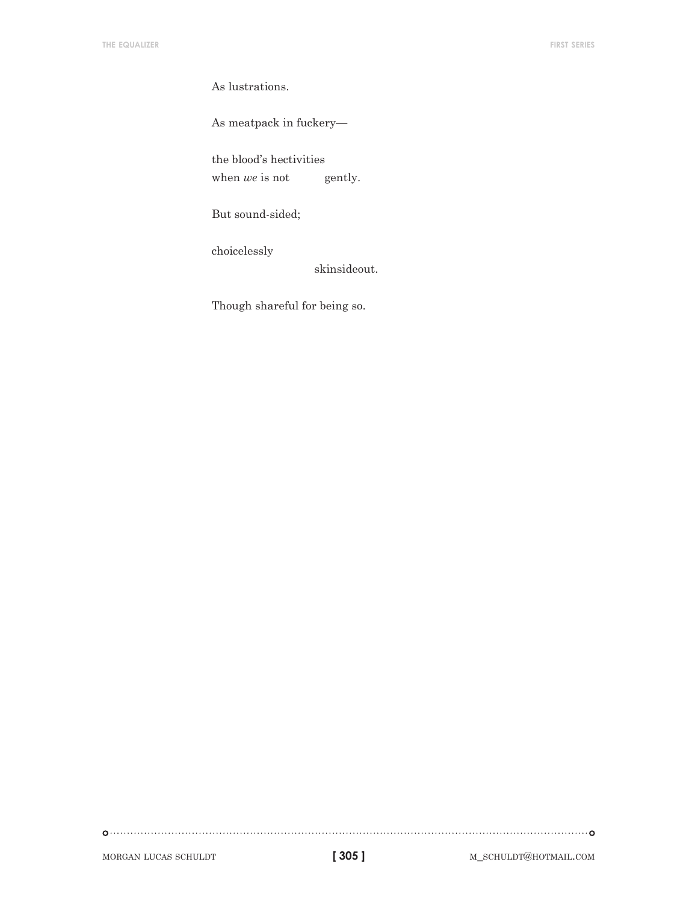As lustrations.

As meatpack in fuckery—

the blood's hectivities

when *we* is not gently.

But sound-sided;

choicelessly

skinsideout.

Though shareful for being so.